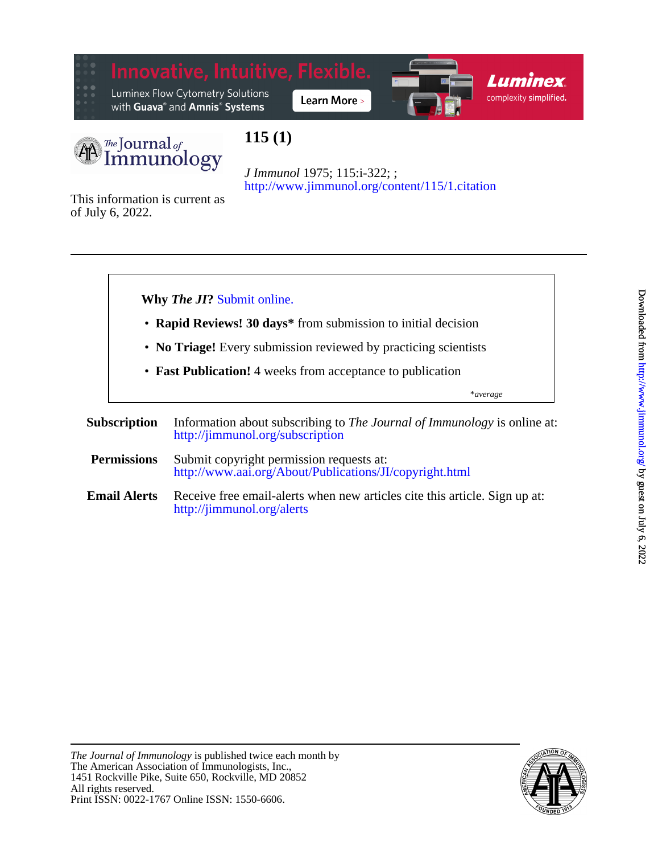

Luminex Flow Cytometry Solutions with Guava<sup>®</sup> and Amnis<sup>®</sup> Systems







# **115 (1)**

<http://www.jimmunol.org/content/115/1.citation> *J Immunol* 1975; 115:i-322; ;

of July 6, 2022. This information is current as





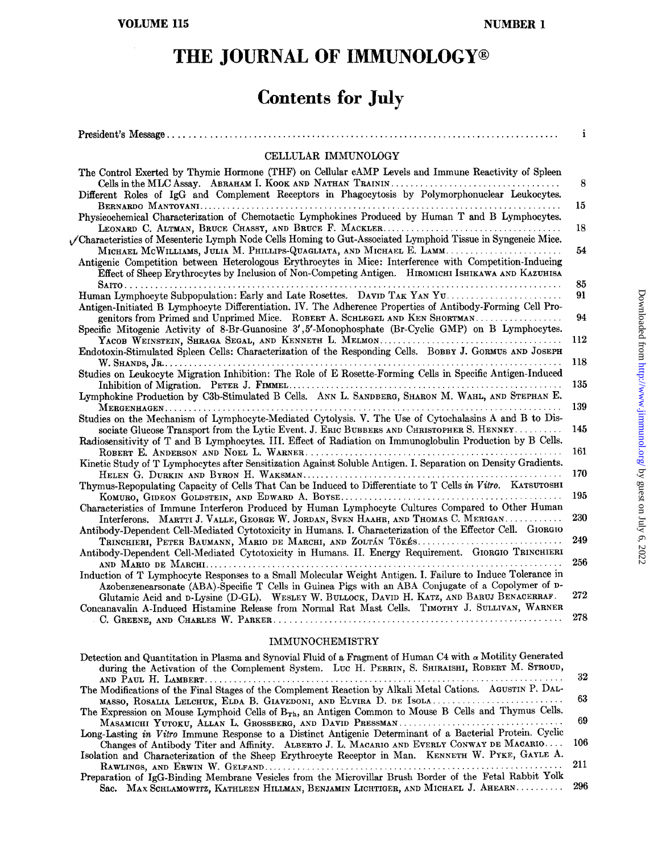## THE JOURNAL OF IMMUNOLOGY®

# **Contents for July**

| CELLULAR IMMUNOLOGY                                                                                                                                                                                                                                                                           |     |
|-----------------------------------------------------------------------------------------------------------------------------------------------------------------------------------------------------------------------------------------------------------------------------------------------|-----|
|                                                                                                                                                                                                                                                                                               |     |
| The Control Exerted by Thymic Hormone (THF) on Cellular cAMP Levels and Immune Reactivity of Spleen<br>Different Roles of IgG and Complement Receptors in Phagocytosis by Polymorphonuclear Leukocytes.                                                                                       | 8   |
| Physicochemical Characterization of Chemotactic Lymphokines Produced by Human T and B Lymphocytes.                                                                                                                                                                                            | 15  |
|                                                                                                                                                                                                                                                                                               | 18  |
| Characteristics of Mesenteric Lymph Node Cells Homing to Gut-Associated Lymphoid Tissue in Syngeneic Mice.<br>MICHAEL MCWILLIAMS, JULIA M. PHILLIPS-QUAGLIATA, AND MICHAEL E. LAMM<br>Antigenic Competition between Heterologous Erythrocytes in Mice: Interference with Competition-Inducing | 54  |
| Effect of Sheep Erythrocytes by Inclusion of Non-Competing Antigen. HIROMICHI ISHIKAWA AND KAZUHISA                                                                                                                                                                                           | 85  |
| Human Lymphocyte Subpopulation: Early and Late Rosettes. DAVID TAK YAN YU.<br>Antigen-Initiated B Lymphocyte Differentiation. IV. The Adherence Properties of Antibody-Forming Cell Pro-                                                                                                      | 91  |
| genitors from Primed and Unprimed Mice. ROBERT A. SCHLEGEL AND KEN SHORTMAN<br>Specific Mitogenic Activity of 8-Br-Guanosine 3',5'-Monophosphate (Br-Cyclic GMP) on B Lymphocytes.                                                                                                            | 94  |
| Endotoxin-Stimulated Spleen Cells: Characterization of the Responding Cells. BOBBY J. GORMUS AND JOSEPH                                                                                                                                                                                       | 112 |
| Studies on Leukocyte Migration Inhibition: The Role of E Rosette-Forming Cells in Specific Antigen-Induced                                                                                                                                                                                    | 118 |
| Lymphokine Production by C3b-Stimulated B Cells. ANN L. SANDBERG, SHARON M. WAHL, AND STEPHAN E.                                                                                                                                                                                              | 135 |
| Studies on the Mechanism of Lymphocyte-Mediated Cytolysis. V. The Use of Cytochalasins A and B to Dis-                                                                                                                                                                                        | 139 |
| sociate Glucose Transport from the Lytic Event. J. ERIC BUBBERS AND CHRISTOPHER S. HENNEY<br>Radiosensitivity of T and B Lymphocytes. III. Effect of Radiation on Immunoglobulin Production by B Cells.                                                                                       | 145 |
| Kinetic Study of T Lymphocytes after Sensitization Against Soluble Antigen. I. Separation on Density Gradients.                                                                                                                                                                               | 161 |
| Thymus-Repopulating Capacity of Cells That Can be Induced to Differentiate to T Cells in Vitro. KATSUTOSHI                                                                                                                                                                                    | 170 |
| Characteristics of Immune Interferon Produced by Human Lymphocyte Cultures Compared to Other Human                                                                                                                                                                                            | 195 |
| Interferons. MARTTI J. VALLE, GEORGE W. JORDAN, SVEN HAAHR, AND THOMAS C. MERIGAN<br>Antibody-Dependent Cell-Mediated Cytotoxicity in Humans. I. Characterization of the Effector Cell. GIORGIO                                                                                               | 230 |
| TRINCHIERI, PETER BAUMANN, MARIO DE MARCHI, AND ZOLTÁN TÖKÉS<br>Antibody-Dependent Cell-Mediated Cytotoxicity in Humans. II. Energy Requirement. GIORGIO TRINCHIERI                                                                                                                           | 249 |
| Induction of T Lymphocyte Responses to a Small Molecular Weight Antigen. I. Failure to Induce Tolerance in                                                                                                                                                                                    | 256 |
| Azobenzenearsonate (ABA)-Specific T Cells in Guinea Pigs with an ABA Conjugate of a Copolymer of D-<br>Glutamic Acid and D-Lysine (D-GL). WESLEY W. BULLOCK, DAVID H. KATZ, AND BARUJ BENACERRAF.                                                                                             | 272 |
| Concanavalin A-Induced Histamine Release from Normal Rat Mast Cells. TIMOTHY J. SULLIVAN, WARNER                                                                                                                                                                                              | 278 |
|                                                                                                                                                                                                                                                                                               |     |

#### **IMMUNOCHEMISTRY**

| Detection and Quantitation in Plasma and Synovial Fluid of a Fragment of Human C4 with $\alpha$ Motility Generated |      |
|--------------------------------------------------------------------------------------------------------------------|------|
| during the Activation of the Complement System. LUC H. PERRIN, S. SHIRAISHI, ROBERT M. STROUD,                     |      |
|                                                                                                                    | -32  |
| The Modifications of the Final Stages of the Complement Reaction by Alkali Metal Cations. AGUSTIN P. DAL-          |      |
| MASSO, ROSALIA LELCHUK, ELDA B. GIAVEDONI, AND ELVIRA D. DE ISOLA                                                  | - 63 |
| The Expression on Mouse Lymphoid Cells of B <sub>Th</sub> , an Antigen Common to Mouse B Cells and Thymus Cells.   |      |
|                                                                                                                    |      |
| Long-Lasting in Vitro Immune Response to a Distinct Antigenic Determinant of a Bacterial Protein. Cyclic           |      |
| Changes of Antibody Titer and Affinity. ALBERTO J. L. MACARIO AND EVERLY CONWAY DE MACARIO 106                     |      |
| Isolation and Characterization of the Sheep Erythrocyte Receptor in Man. KENNETH W. PYKE, GAYLE A.                 |      |
|                                                                                                                    | 211  |
| Preparation of IgG-Binding Membrane Vesicles from the Microvillar Brush Border of the Fetal Rabbit Yolk            |      |
| Sac. MAX SCHLAMOWITZ, KATHLEEN HILLMAN, BENJAMIN LICHTIGER, AND MICHAEL J. AHEARN 296                              |      |
|                                                                                                                    |      |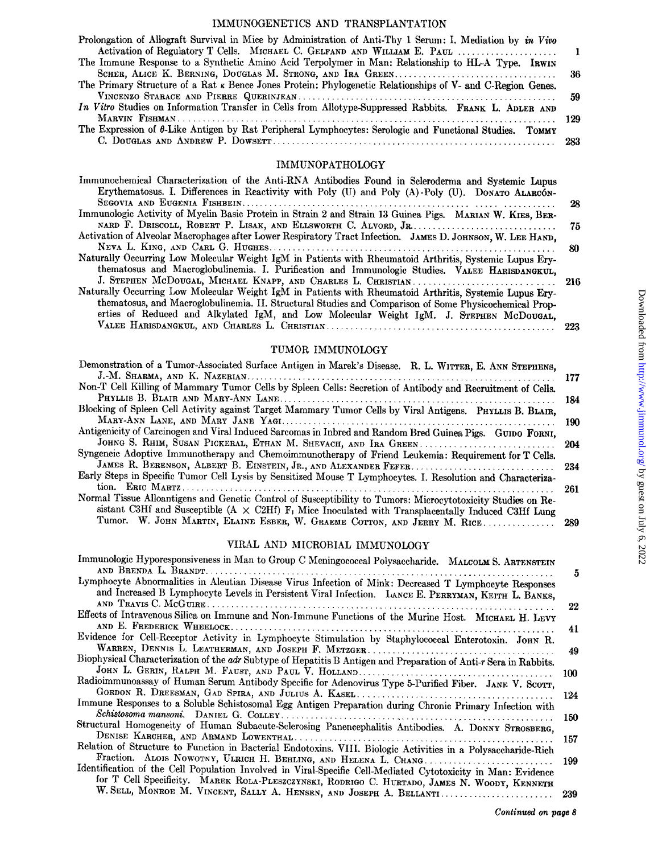#### IMMUNOGENETICS AND TRANSPLANTATION

| Prolongation of Allograft Survival in Mice by Administration of Anti-Thy 1 Serum: I. Mediation by in Vivo         |  |
|-------------------------------------------------------------------------------------------------------------------|--|
|                                                                                                                   |  |
| The Immune Response to a Synthetic Amino Acid Terpolymer in Man: Relationship to HL-A Type. IRWIN                 |  |
|                                                                                                                   |  |
| The Primary Structure of a Rat $\kappa$ Bence Jones Protein: Phylogenetic Relationships of V- and C-Region Genes. |  |
|                                                                                                                   |  |
| In Vitro Studies on Information Transfer in Cells from Allotype-Suppressed Rabbits. FRANK L. ADLER AND            |  |
|                                                                                                                   |  |
| The Expression of $\theta$ -Like Antigen by Rat Peripheral Lymphocytes: Serologic and Functional Studies. TOMMY   |  |
|                                                                                                                   |  |

#### IMMUNOPATHOLOGY

| Immunochemical Characterization of the Anti-RNA Antibodies Found in Scleroderma and Systemic Lupus         |     |
|------------------------------------------------------------------------------------------------------------|-----|
| Erythematosus. I. Differences in Reactivity with Poly (U) and Poly (A) Poly (U). DONATO ALARCÓN-           |     |
|                                                                                                            | 28  |
| Immunologic Activity of Myelin Basic Protein in Strain 2 and Strain 13 Guinea Pigs. MARIAN W. KIES, BER-   |     |
|                                                                                                            | -75 |
| Activation of Alveolar Macrophages after Lower Respiratory Tract Infection. JAMES D. JOHNSON, W. LEE HAND, |     |
|                                                                                                            | -80 |
| Naturally Occurring Low Molecular Weight IgM in Patients with Rheumatoid Arthritis, Systemic Lupus Ery-    |     |
| thematosus and Macroglobulinemia. I. Purification and Immunologic Studies. VALEE HARISDANGKUL,             |     |
| J. STEPHEN MCDOUGAL, MICHAEL KNAPP, AND CHARLES L. CHRISTIAN 216                                           |     |
| Naturally Occurring Low Molecular Weight IgM in Patients with Rheumatoid Arthritis, Systemic Lupus Ery-    |     |
| thematosus, and Macroglobulinemia. II. Structural Studies and Comparison of Some Physicochemical Prop-     |     |
| erties of Reduced and Alkylated IgM, and Low Molecular Weight IgM. J. STEPHEN McDOUGAL,                    |     |
|                                                                                                            | 223 |

#### TUMOR IMMUNOLOGY

| Demonstration of a Tumor-Associated Surface Antigen in Marek's Disease. R. L. WITTER, E. ANN STEPHENS,                |       |
|-----------------------------------------------------------------------------------------------------------------------|-------|
|                                                                                                                       | - 177 |
| Non-T Cell Killing of Mammary Tumor Cells by Spleen Cells: Secretion of Antibody and Recruitment of Cells.            |       |
|                                                                                                                       | 184   |
| Blocking of Spleen Cell Activity against Target Mammary Tumor Cells by Viral Antigens. PHYLLIS B. BLAIR,              |       |
|                                                                                                                       | 190   |
| Antigenicity of Carcinogen and Viral Induced Sarcomas in Inbred and Random Bred Guinea Pigs. GUIDO FORNI,             |       |
|                                                                                                                       |       |
| Syngeneic Adoptive Immunotherapy and Chemoimmunotherapy of Friend Leukemia: Requirement for T Cells.                  |       |
|                                                                                                                       |       |
| Early Steps in Specific Tumor Cell Lysis by Sensitized Mouse T Lymphocytes. I. Resolution and Characteriza-           |       |
|                                                                                                                       | 261   |
| Normal Tissue Alloantigens and Genetic Control of Susceptibility to Tumors: Microcytotoxicity Studies on Re-          |       |
| sistant C3Hf and Susceptible (A $\times$ C2Hf) F <sub>1</sub> Mice Inoculated with Transplacentally Induced C3Hf Lung |       |
| Tumor. W. JOHN MARTIN, ELAINE ESBER, W. GRAEME COTTON, AND JERRY M. RICE 289                                          |       |
|                                                                                                                       |       |

#### VIRAL AND MICROBIAL IMMUNOLOGY

| Immunologic Hyporesponsiveness in Man to Group C Meningococcal Polysaccharide. MALCOLM S. ARTENSTEIN              |     |
|-------------------------------------------------------------------------------------------------------------------|-----|
| Lymphocyte Abnormalities in Aleutian Disease Virus Infection of Mink: Decreased T Lymphocyte Responses            | 5   |
| and Increased B Lymphocyte Levels in Persistent Viral Infection. LANCE E. PERRYMAN, KEITH L. BANKS,               |     |
|                                                                                                                   | 22  |
| Effects of Intravenous Silica on Immune and Non-Immune Functions of the Murine Host. MICHAEL H. LEVY              |     |
|                                                                                                                   | 41  |
| Evidence for Cell-Receptor Activity in Lymphocyte Stimulation by Staphylococcal Enterotoxin. JOHN R.              |     |
|                                                                                                                   | 49  |
| Biophysical Characterization of the adr Subtype of Hepatitis B Antigen and Preparation of Anti-r Sera in Rabbits. |     |
|                                                                                                                   | 100 |
| Radioimmunoassay of Human Serum Antibody Specific for Adenovirus Type 5-Purified Fiber. JANE V. SCOTT,            |     |
|                                                                                                                   | 124 |
| Immune Responses to a Soluble Schistosomal Egg Antigen Preparation during Chronic Primary Infection with          |     |
|                                                                                                                   | 150 |
| Structural Homogeneity of Human Subacute-Sclerosing Panencephalitis Antibodies. A. DONNY STROSBERG,               |     |
|                                                                                                                   | 157 |
| Relation of Structure to Function in Bacterial Endotoxins. VIII. Biologic Activities in a Polysaccharide-Rich     |     |
| Fraction. ALOIS NOWOTNY, ULRICH H. BEHLING, AND HELENA L. CHANG                                                   | 199 |
| Identification of the Cell Population Involved in Viral-Specific Cell-Mediated Cytotoxicity in Man: Evidence      |     |
| for T Cell Specificity. MAREK ROLA-PLESZCZYNSKI, RODRIGO C. HURTADO, JAMES N. WOODY, KENNETH                      |     |
| W. SELL, MONROE M. VINCENT, SALLY A. HENSEN, AND JOSEPH A. BELLANTI 239                                           |     |
|                                                                                                                   |     |

*Continued on page 8*